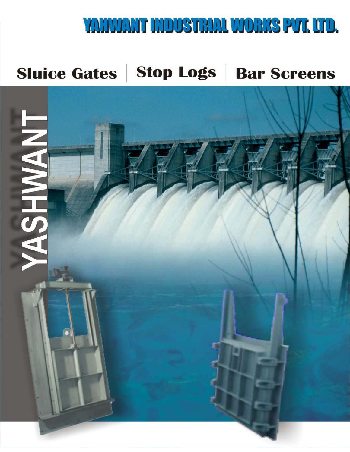# YAHIVANT INDUSTRIAL WORKS PUT. UTD.

# **Sluice Gates | Stop Logs | Bar Screens**

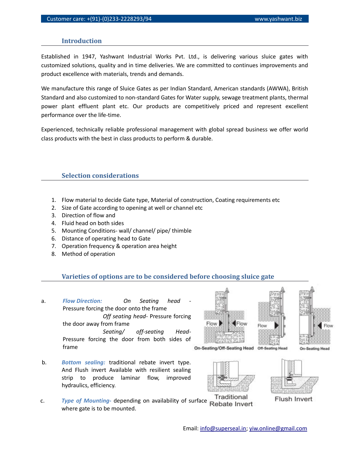# **Introduction**

Established in 1947, Yashwant Industrial Works Pvt. Ltd., is delivering various sluice gates with customized solutions, quality and in time deliveries. We are committed to continues improvements and product excellence with materials, trends and demands.

We manufacture this range of Sluice Gates as per Indian Standard, American standards (AWWA), British Standard and also customized to non-standard Gates for Water supply, sewage treatment plants, thermal power plant effluent plant etc. Our products are competitively priced and represent excellent performance over the life-time.

Experienced, technically reliable professional management with global spread business we offer world class products with the best in class products to perform & durable.

# **Selection considerations**

- 1. Flow material to decide Gate type, Material of construction, Coating requirements etc
- 2. Size of Gate according to opening at well or channel etc
- 3. Direction of flow and
- 4. Fluid head on both sides
- 5. Mounting Conditions- wall/ channel/ pipe/ thimble
- 6. Distance of operating head to Gate
- 7. Operation frequency & operation area height
- 8. Method of operation

### **Varieties of options are to be considered before choosing sluice gate**

- a. **Flow Direction:** On Seating head Pressure forcing the door onto the frame *Off seating head*- Pressure forcing the door away from frame *Seating/ off-seating Head*-Pressure forcing the door from both sides of frame
- b. *Bottom sealing:* traditional rebate invert type. And Flush invert Available with resilient sealing strip to produce laminar flow, improved hydraulics, efficiency.
- c. **Type of Mounting-** depending on availability of surface Rebate Invert Traditional where gate is to be mounted.







**Flush Invert** 

On-Seating Head

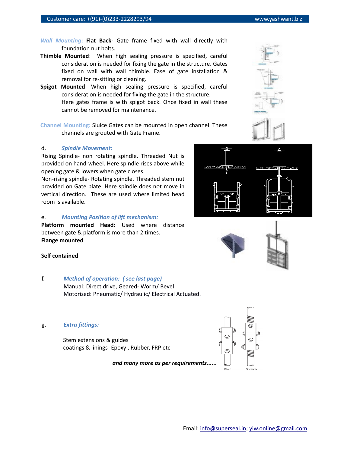- *Wall Mounting***: Flat Back-** Gate frame fixed with wall directly with foundation nut bolts.
- **Thimble Mounted**: When high sealing pressure is specified, careful consideration is needed for fixing the gate in the structure. Gates fixed on wall with wall thimble. Ease of gate installation & removal for re-sitting or cleaning.
- **Spigot Mounted**: When high sealing pressure is specified, careful consideration is needed for fixing the gate in the structure. Here gates frame is with spigot back. Once fixed in wall these cannot be removed for maintenance.
- **Channel Mounting:** Sluice Gates can be mounted in open channel. These channels are grouted with Gate Frame.

### d. *Spindle Movement:*

Rising Spindle- non rotating spindle. Threaded Nut is provided on hand-wheel. Here spindle rises above while opening gate & lowers when gate closes.

Non-rising spindle- Rotating spindle. Threaded stem nut provided on Gate plate. Here spindle does not move in vertical direction. These are used where limited head room is available.

#### e. *Mounting Position of lift mechanism:*

**Platform mounted Head:** Used where distance between gate & platform is more than 2 times. **Flange mounted**

# **Self contained**

- f. *Method of operation: ( see last page)* Manual: Direct drive, Geared- Worm/ Bevel Motorized: Pneumatic/ Hydraulic/ Electrical Actuated.
- g. *Extra fittings:*

Stem extensions & guides coatings & linings- Epoxy , Rubber, FRP etc

*and many more as per requirements......*







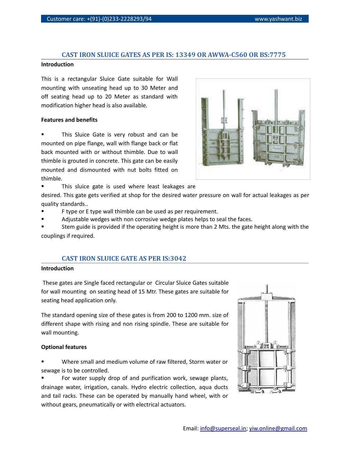# **CAST IRON SLUICE GATES AS PER IS: 13349 OR AWWA-C560 OR BS:7775**

# **Introduction**

This is a rectangular Sluice Gate suitable for Wall mounting with unseating head up to 30 Meter and off seating head up to 20 Meter as standard with modification higher head is also available.

# **Features and benefits**

 This Sluice Gate is very robust and can be mounted on pipe flange, wall with flange back or flat back mounted with or without thimble. Due to wall thimble is grouted in concrete. This gate can be easily mounted and dismounted with nut bolts fitted on thimble.



This sluice gate is used where least leakages are

desired. This gate gets verified at shop for the desired water pressure on wall for actual leakages as per quality standards..

- F type or E type wall thimble can be used as per requirement.
- Adjustable wedges with non corrosive wedge plates helps to seal the faces.
- Stem guide is provided if the operating height is more than 2 Mts. the gate height along with the couplings if required.

# **CAST IRON SLUICE GATE AS PER IS:3042**

### **Introduction**

 These gates are Single faced rectangular or Circular Sluice Gates suitable for wall mounting on seating head of 15 Mtr. These gates are suitable for seating head application only.

The standard opening size of these gates is from 200 to 1200 mm. size of different shape with rising and non rising spindle. These are suitable for wall mounting.

### **Optional features**

 Where small and medium volume of raw filtered, Storm water or sewage is to be controlled.

 For water supply drop of and purification work, sewage plants, drainage water, irrigation, canals. Hydro electric collection, aqua ducts and tail racks. These can be operated by manually hand wheel, with or without gears, pneumatically or with electrical actuators.

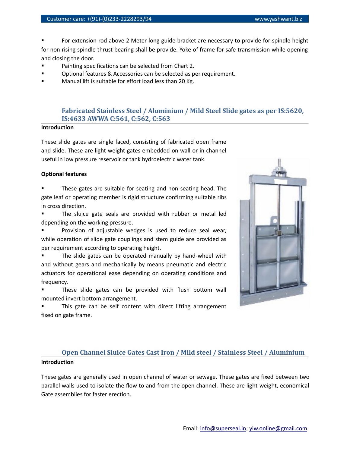For extension rod above 2 Meter long guide bracket are necessary to provide for spindle height for non rising spindle thrust bearing shall be provide. Yoke of frame for safe transmission while opening and closing the door.

- Painting specifications can be selected from Chart 2.
- Optional features & Accessories can be selected as per requirement.
- Manual lift is suitable for effort load less than 20 Kg.

# **Fabricated Stainless Steel / Aluminium / Mild Steel Slide gates as per IS:5620, IS:4633 AWWA C:561, C:562, C:563**

# **Introduction**

These slide gates are single faced, consisting of fabricated open frame and slide. These are light weight gates embedded on wall or in channel useful in low pressure reservoir or tank hydroelectric water tank.

# **Optional features**

 These gates are suitable for seating and non seating head. The gate leaf or operating member is rigid structure confirming suitable ribs in cross direction.

 The sluice gate seals are provided with rubber or metal led depending on the working pressure.

 Provision of adjustable wedges is used to reduce seal wear, while operation of slide gate couplings and stem guide are provided as per requirement according to operating height.

 The slide gates can be operated manually by hand-wheel with and without gears and mechanically by means pneumatic and electric actuators for operational ease depending on operating conditions and frequency.

 These slide gates can be provided with flush bottom wall mounted invert bottom arrangement.

 This gate can be self content with direct lifting arrangement fixed on gate frame.

# **Open Channel Sluice Gates Cast Iron / Mild steel / Stainless Steel / Aluminium Introduction**

These gates are generally used in open channel of water or sewage. These gates are fixed between two parallel walls used to isolate the flow to and from the open channel. These are light weight, economical Gate assemblies for faster erection.

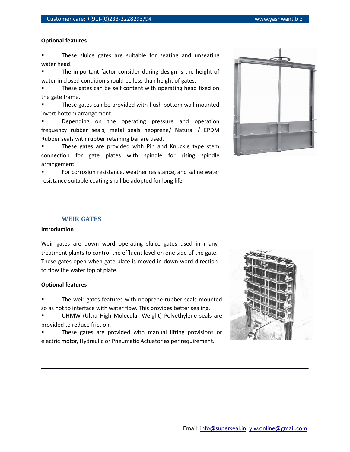# **Optional features**

 These sluice gates are suitable for seating and unseating water head.

 The important factor consider during design is the height of water in closed condition should be less than height of gates.

 These gates can be self content with operating head fixed on the gate frame.

 These gates can be provided with flush bottom wall mounted invert bottom arrangement.

 Depending on the operating pressure and operation frequency rubber seals, metal seals neoprene/ Natural / EPDM Rubber seals with rubber retaining bar are used.

 These gates are provided with Pin and Knuckle type stem connection for gate plates with spindle for rising spindle arrangement.

 For corrosion resistance, weather resistance, and saline water resistance suitable coating shall be adopted for long life.



# **WEIR GATES**

## **Introduction**

Weir gates are down word operating sluice gates used in many treatment plants to control the effluent level on one side of the gate. These gates open when gate plate is moved in down word direction to flow the water top of plate.

#### **Optional features**

 The weir gates features with neoprene rubber seals mounted so as not to interface with water flow. This provides better sealing.

 UHMW (Ultra High Molecular Weight) Polyethylene seals are provided to reduce friction.

 These gates are provided with manual lifting provisions or electric motor, Hydraulic or Pneumatic Actuator as per requirement.

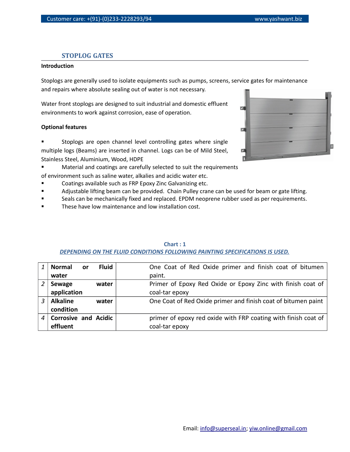# **STOPLOG GATES**

#### **Introduction**

Stoplogs are generally used to isolate equipments such as pumps, screens, service gates for maintenance and repairs where absolute sealing out of water is not necessary.

Water front stoplogs are designed to suit industrial and domestic effluent environments to work against corrosion, ease of operation.

### **Optional features**

 Stoplogs are open channel level controlling gates where single multiple logs (Beams) are inserted in channel. Logs can be of Mild Steel, Stainless Steel, Aluminium, Wood, HDPE

**EXECT** Material and coatings are carefully selected to suit the requirements

of environment such as saline water, alkalies and acidic water etc.

- Coatings available such as FRP Epoxy Zinc Galvanizing etc.
- **Example 15 Adjustable lifting beam can be provided. Chain Pulley crane can be used for beam or gate lifting.**
- Seals can be mechanically fixed and replaced. EPDM neoprene rubber used as per requirements.
- These have low maintenance and low installation cost.

| <b>Fluid</b><br><b>Normal</b><br><b>or</b> | One Coat of Red Oxide primer and finish coat of bitumen        |
|--------------------------------------------|----------------------------------------------------------------|
| water                                      | paint.                                                         |
| Sewage<br>water                            | Primer of Epoxy Red Oxide or Epoxy Zinc with finish coat of    |
| application                                | coal-tar epoxy                                                 |
| <b>Alkaline</b><br>water                   | One Coat of Red Oxide primer and finish coat of bitumen paint  |
| condition                                  |                                                                |
| <b>Corrosive and Acidic</b>                | primer of epoxy red oxide with FRP coating with finish coat of |
| effluent                                   | coal-tar epoxy                                                 |

# **Chart : 1** *DEPENDING ON THE FLUID CONDITIONS FOLLOWING PAINTING SPECIFICATIONS IS USED.*

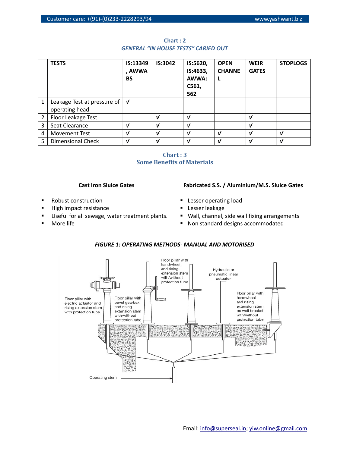|   | <b>TESTS</b>                                    | IS:13349<br>, AWWA<br><b>BS</b> | IS:3042                    | IS:5620,<br>IS:4633,<br>AWWA:<br>C561,<br>562 | <b>OPEN</b><br><b>CHANNE</b> | <b>WEIR</b><br><b>GATES</b> | <b>STOPLOGS</b>            |
|---|-------------------------------------------------|---------------------------------|----------------------------|-----------------------------------------------|------------------------------|-----------------------------|----------------------------|
| 1 | Leakage Test at pressure of  <br>operating head | <b>V</b>                        |                            |                                               |                              |                             |                            |
| 2 | Floor Leakage Test                              |                                 | V                          | ν                                             |                              | ν                           |                            |
| 3 | Seat Clearance                                  | ν                               | $\boldsymbol{\nu}$         | ν                                             |                              | ν                           |                            |
| 4 | Movement Test                                   | ν                               | V                          | ν                                             | V                            | ν                           | ν                          |
| 5 | Dimensional Check                               | ν                               | $\boldsymbol{\mathcal{U}}$ | ν                                             | $\boldsymbol{\mathcal{U}}$   | $\mathbf{v}$                | $\boldsymbol{\mathcal{U}}$ |

**Chart : 2** *GENERAL "IN HOUSE TESTS" CARIED OUT*



# **Cast Iron Sluice Gates**

- Robust construction
- High impact resistance
- Useful for all sewage, water treatment plants.
- More life

# **Fabricated S.S. / Aluminium/M.S. Sluice Gates**

- **Lesser operating load**
- Lesser leakage
- Wall, channel, side wall fixing arrangements
- Non standard designs accommodated



# *FIGURE 1: OPERATING METHODS- MANUAL AND MOTORISED*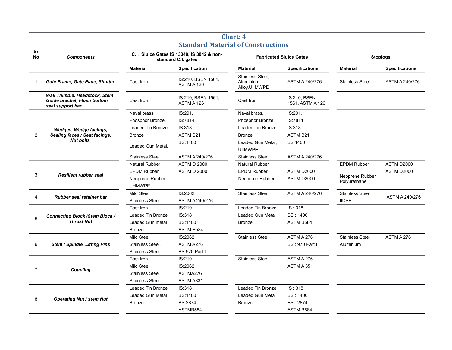| Sr<br>No       | <b>Components</b>                                                                       | C.I. Sluice Gates IS 13349, IS 3042 & non-<br>standard C.I. gates |                                  | Stanuaru Material of Constructions<br><b>Fabricated Sluice Gates</b> |                                         | <b>Stoplogs</b>                 |                       |
|----------------|-----------------------------------------------------------------------------------------|-------------------------------------------------------------------|----------------------------------|----------------------------------------------------------------------|-----------------------------------------|---------------------------------|-----------------------|
|                |                                                                                         | <b>Material</b>                                                   | <b>Specification</b>             | <b>Material</b>                                                      | <b>Specifications</b>                   | <b>Material</b>                 | <b>Specifications</b> |
|                | Gate Frame, Gate Plate, Shutter                                                         | Cast Iron                                                         | IS:210, BSEN 1561,<br>ASTM A 126 | Stainless Steel,<br>Aluminium<br>Alloy, UIIMWPE                      | ASTM A 240/276                          | <b>Stainless Steel</b>          | ASTM A 240/276        |
|                | <b>Wall Thimble, Headstock, Stem</b><br>Guide bracket, Flush bottom<br>seal support bar | Cast Iron                                                         | IS:210, BSEN 1561,<br>ASTM A 126 | Cast Iron                                                            | <b>IS:210. BSEN</b><br>1561, ASTM A 126 |                                 |                       |
|                | Wedges, Wedge facings,<br>Sealing faces / Seat facings,<br><b>Nut bolts</b>             | Naval brass,                                                      | IS:291,                          | Naval brass,                                                         | IS:291,                                 |                                 |                       |
|                |                                                                                         | Phosphor Bronze,                                                  | IS:7814                          | Phosphor Bronze,                                                     | IS:7814                                 |                                 |                       |
|                |                                                                                         | Leaded Tin Bronze                                                 | IS:318                           | Leaded Tin Bronze                                                    | IS:318                                  |                                 |                       |
| 2              |                                                                                         | <b>Bronze</b>                                                     | <b>ASTM B21</b>                  | <b>Bronze</b>                                                        | ASTM B21                                |                                 |                       |
|                |                                                                                         | Leaded Gun Metal,                                                 | <b>BS:1400</b>                   | Leaded Gun Metal,<br><b>UIIMWPE</b>                                  | <b>BS:1400</b>                          |                                 |                       |
|                |                                                                                         | <b>Stainless Steel</b>                                            | ASTM A 240/276                   | <b>Stainless Steel</b>                                               | ASTM A 240/276                          |                                 |                       |
| 3              | <b>Resilient rubber seal</b>                                                            | Natural Rubber                                                    | <b>ASTM D 2000</b>               | Natural Rubber                                                       |                                         | <b>EPDM Rubber</b>              | ASTM D2000            |
|                |                                                                                         | <b>EPDM Rubber</b>                                                | <b>ASTM D 2000</b>               | <b>EPDM Rubber</b>                                                   | ASTM D2000                              |                                 | ASTM D2000            |
|                |                                                                                         | Neoprene Rubber                                                   |                                  | Neoprene Rubber                                                      | ASTM D2000                              | Neoprene Rubber<br>Polyurethane |                       |
|                |                                                                                         | <b>UHMWPE</b>                                                     |                                  |                                                                      |                                         |                                 |                       |
|                | Rubber seal retainer bar                                                                | Mild Steel                                                        | IS:2062                          | <b>Stainless Steel</b>                                               | ASTM A 240/276                          | <b>Stainless Steel</b>          |                       |
| 4              |                                                                                         | <b>Stainless Steel</b>                                            | ASTM A 240/276                   |                                                                      |                                         | <b>IIDPE</b>                    | ASTM A 240/276        |
|                | <b>Connecting Block /Stem Block /</b><br><b>Thrust Nut</b>                              | Cast Iron                                                         | IS:210                           | Leaded Tin Bronze                                                    | IS: 318                                 |                                 |                       |
| 5              |                                                                                         | Leaded Tin Bronze                                                 | IS:318                           | Leaded Gun Metal                                                     | <b>BS: 1400</b>                         |                                 |                       |
|                |                                                                                         | Leaded Gun metal                                                  | <b>BS:1400</b>                   | <b>Bronze</b>                                                        | ASTM B584                               |                                 |                       |
|                |                                                                                         | <b>Bronze</b>                                                     | ASTM B584                        |                                                                      |                                         |                                 |                       |
|                | Stem / Spindle, Lifting Pins                                                            | Mild Steel,                                                       | IS:2062                          | <b>Stainless Steel</b>                                               | ASTM A 276                              | <b>Stainless Steel</b>          | ASTM A 276            |
| 6              |                                                                                         | Stainless Steel,                                                  | ASTM A276                        |                                                                      | <b>BS: 970 Part I</b>                   | Aluminium                       |                       |
|                |                                                                                         | <b>Stainless Steel</b>                                            | <b>BS:970 Part I</b>             |                                                                      |                                         |                                 |                       |
| $\overline{7}$ | Coupling                                                                                | Cast Iron                                                         | IS:210                           | <b>Stainless Steel</b>                                               | ASTM A 276                              |                                 |                       |
|                |                                                                                         | Mild Steel                                                        | IS:2062                          |                                                                      | ASTM A 351                              |                                 |                       |
|                |                                                                                         | <b>Stainless Steel</b>                                            | ASTMA276                         |                                                                      |                                         |                                 |                       |
|                |                                                                                         | <b>Stainless Steel</b>                                            | ASTM A331                        |                                                                      |                                         |                                 |                       |
| 8              | <b>Operating Nut / stem Nut</b>                                                         | Leaded Tin Bronze                                                 | IS:318                           | Leaded Tin Bronze                                                    | IS: 318                                 |                                 |                       |
|                |                                                                                         | Leaded Gun Metal                                                  | <b>BS:1400</b>                   | Leaded Gun Metal                                                     | <b>BS: 1400</b>                         |                                 |                       |
|                |                                                                                         | <b>Bronze</b>                                                     | BS:2874                          | <b>Bronze</b>                                                        | BS: 2874                                |                                 |                       |
|                |                                                                                         |                                                                   | ASTMB584                         |                                                                      | ASTM B584                               |                                 |                       |

# **Chart: 4 Standard Material of Constructions**